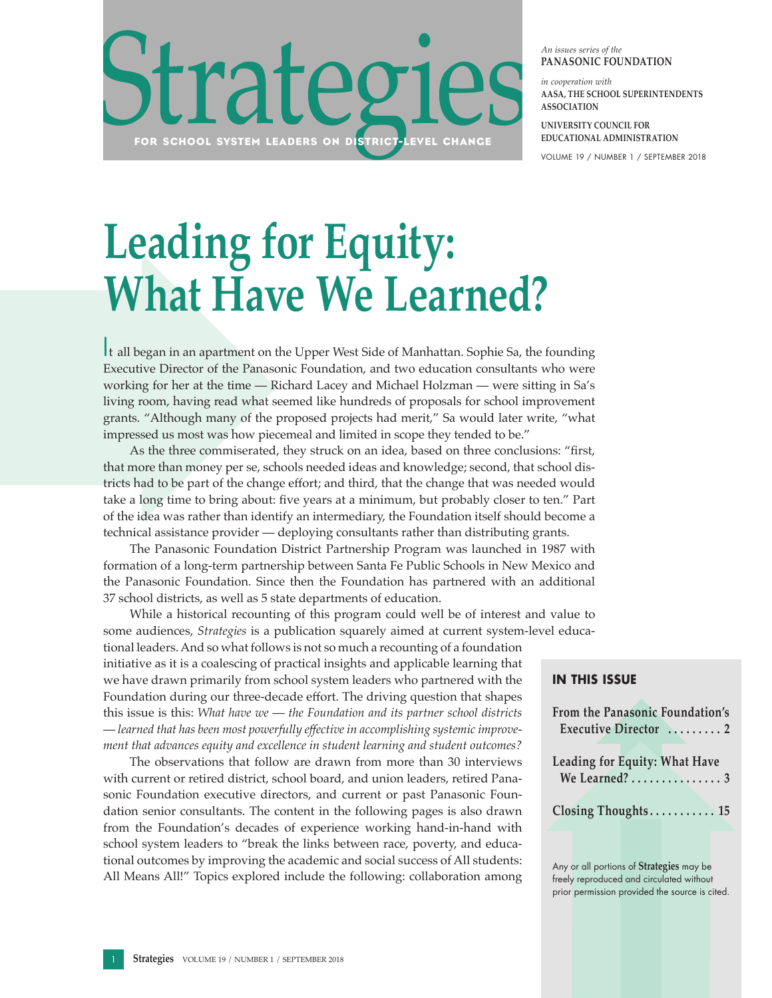

*An issues series of the* **PANASONIC FOUNDATION**

*in cooperation with*  **AASA, THE SCHOOL SUPERINTENDENTS ASSOCIATION**

**UNIVERSITY COUNCIL FOR EDUCATIONAL ADMINISTRATION**

VOLUME 19 / NUMBER 1 / SEPTEMBER 2018

# **Leading for Equity: What Have We Learned?**

It all began in an apartment on the Upper West Side of Manhattan. Sophie Sa, the founding Executive Director of the Panasonic Foundation, and two education consultants who were working for her at the time — Richard Lacey and Michael Holzman — were sitting in Sa's living room, having read what seemed like hundreds of proposals for school improvement grants. "Although many of the proposed projects had merit," Sa would later write, "what impressed us most was how piecemeal and limited in scope they tended to be."

As the three commiserated, they struck on an idea, based on three conclusions: "first, that more than money per se, schools needed ideas and knowledge; second, that school districts had to be part of the change effort; and third, that the change that was needed would take a long time to bring about: five years at a minimum, but probably closer to ten." Part of the idea was rather than identify an intermediary, the Foundation itself should become a technical assistance provider — deploying consultants rather than distributing grants.

The Panasonic Foundation District Partnership Program was launched in 1987 with formation of a long-term partnership between Santa Fe Public Schools in New Mexico and the Panasonic Foundation. Since then the Foundation has partnered with an additional 37 school districts, as well as 5 state departments of education.

While a historical recounting of this program could well be of interest and value to some audiences, *Strategies* is a publication squarely aimed at current system-level educa-

tional leaders. And so what follows is not so much a recounting of a foundation initiative as it is a coalescing of practical insights and applicable learning that we have drawn primarily from school system leaders who partnered with the Foundation during our three-decade effort. The driving question that shapes this issue is this: *What have we* — *the Foundation and its partner school districts* — *learned that has been most powerfully effective in accomplishing systemic improvement that advances equity and excellence in student learning and student outcomes?* 

The observations that follow are drawn from more than 30 interviews with current or retired district, school board, and union leaders, retired Panasonic Foundation executive directors, and current or past Panasonic Foundation senior consultants. The content in the following pages is also drawn from the Foundation's decades of experience working hand-in-hand with school system leaders to "break the links between race, poverty, and educational outcomes by improving the academic and social success of All students: All Means All!" Topics explored include the following: collaboration among

| <b>IN THIS ISSUE</b>                                     |
|----------------------------------------------------------|
| From the Panasonic Foundation's<br>Executive Director  2 |
| Leading for Equity: What Have                            |
| Closing Thoughts 15                                      |
|                                                          |

Any or all portions of **Strategies** may be freely reproduced and circulated without prior permission provided the source is cited.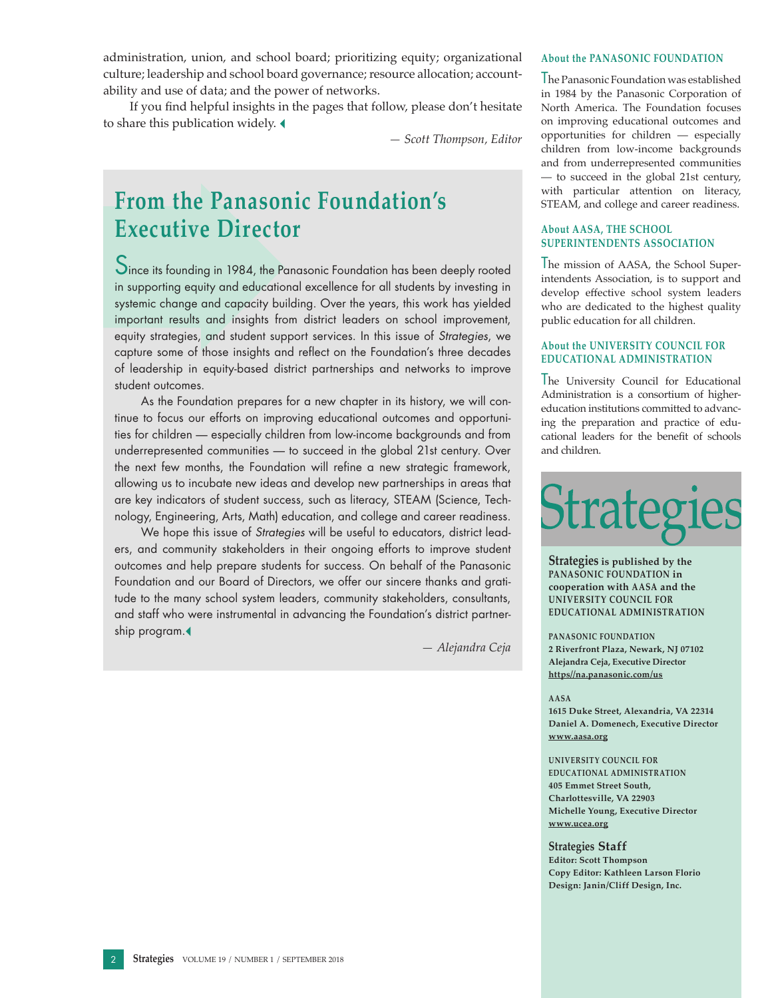administration, union, and school board; prioritizing equity; organizational culture; leadership and school board governance; resource allocation; accountability and use of data; and the power of networks.

If you find helpful insights in the pages that follow, please don't hesitate to share this publication widely.

*— Scott Thompson, Editor*

# **From the Panasonic Foundation's Executive Director**

Since its founding in 1984, the Panasonic Foundation has been deeply rooted in supporting equity and educational excellence for all students by investing in systemic change and capacity building. Over the years, this work has yielded important results and insights from district leaders on school improvement, equity strategies, and student support services. In this issue of *Strategies*, we capture some of those insights and reflect on the Foundation's three decades of leadership in equity-based district partnerships and networks to improve student outcomes.

As the Foundation prepares for a new chapter in its history, we will continue to focus our efforts on improving educational outcomes and opportunities for children — especially children from low-income backgrounds and from underrepresented communities — to succeed in the global 21st century. Over the next few months, the Foundation will refine a new strategic framework, allowing us to incubate new ideas and develop new partnerships in areas that are key indicators of student success, such as literacy, STEAM (Science, Technology, Engineering, Arts, Math) education, and college and career readiness.

We hope this issue of *Strategies* will be useful to educators, district leaders, and community stakeholders in their ongoing efforts to improve student outcomes and help prepare students for success. On behalf of the Panasonic Foundation and our Board of Directors, we offer our sincere thanks and gratitude to the many school system leaders, community stakeholders, consultants, and staff who were instrumental in advancing the Foundation's district partnership program.

*— Alejandra Ceja*

#### **About the PANASONIC FOUNDATION**

The Panasonic Foundation was established in 1984 by the Panasonic Corporation of North America. The Foundation focuses on improving educational outcomes and opportunities for children — especially children from low-income backgrounds and from underrepresented communities — to succeed in the global 21st century, with particular attention on literacy, STEAM, and college and career readiness.

#### **About AASA, THE SCHOOL SUPERINTENDENTS ASSOCIATION**

The mission of AASA, the School Superintendents Association, is to support and develop effective school system leaders who are dedicated to the highest quality public education for all children.

#### **About the UNIVERSITY COUNCIL FOR EDUCATIONAL ADMINISTRATION**

The University Council for Educational Administration is a consortium of highereducation institutions committed to advancing the preparation and practice of educational leaders for the benefit of schools and children.



**Strategies is published by the PANASONIC FOUNDATION in cooperation with AASA and the UNIVERSITY COUNCIL FOR EDUCATIONAL ADMINISTRATION**

**PANASONIC FOUNDATION 2 Riverfront Plaza, Newark, NJ 07102 Alejandra Ceja, Executive Di[r](http://www.panasonic.com/foundation)ector [https//na.panasonic.com/us](https://na.panasonic.com/us/)**

#### **AASA**

**1615 Duke Street, Alexandria, VA 22314 Daniel A. Domenech, Executive Director [www.aasa.org](http://www.aasa.org)**

#### **UNIVERSITY COUNCIL FOR**

**EDUCATIONAL ADMINISTRATION 405 Emmet Street South, Charlottesville, VA 22903 Michelle Young, Executive Director [www.ucea.org](http://www.ucea.org/)**

#### **Strategies Staff**

**Editor: Scott Thompson Copy Editor: Kathleen Larson Florio Design: Janin/Cliff Design, Inc.**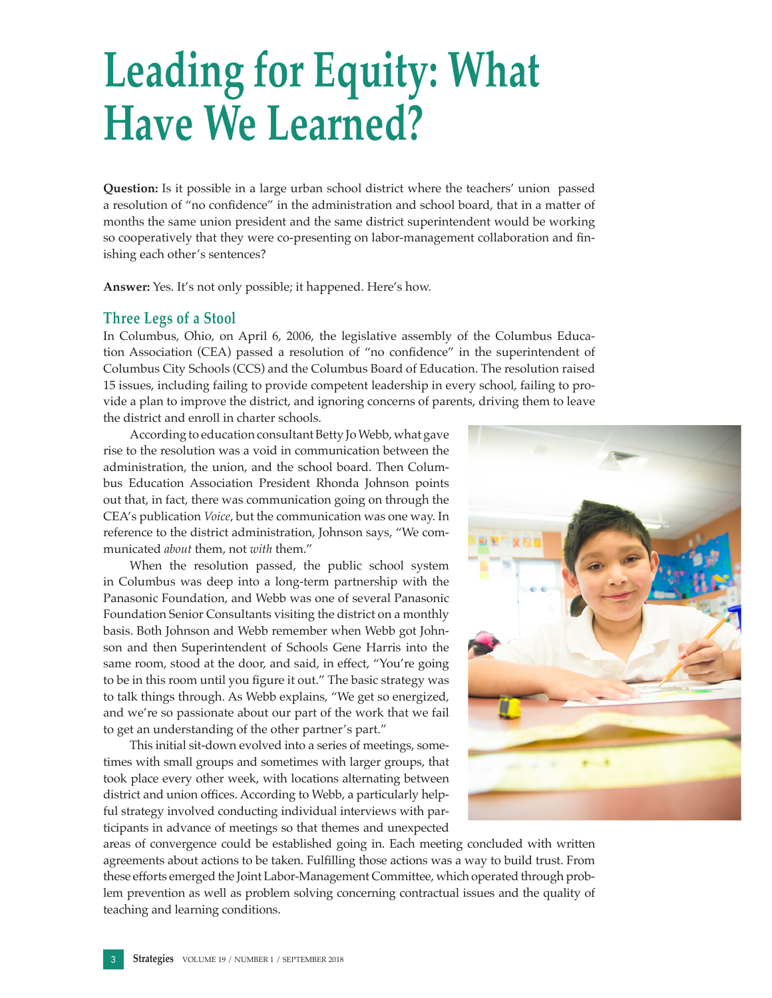# **Leading for Equity: What Have We Learned?**

**Question:** Is it possible in a large urban school district where the teachers' union passed a resolution of "no confidence" in the administration and school board, that in a matter of months the same union president and the same district superintendent would be working so cooperatively that they were co-presenting on labor-management collaboration and finishing each other's sentences?

**Answer:** Yes. It's not only possible; it happened. Here's how.

### **Three Legs of a Stool**

In Columbus, Ohio, on April 6, 2006, the legislative assembly of the Columbus Education Association (CEA) passed a resolution of "no confidence" in the superintendent of Columbus City Schools (CCS) and the Columbus Board of Education. The resolution raised 15 issues, including failing to provide competent leadership in every school, failing to provide a plan to improve the district, and ignoring concerns of parents, driving them to leave the district and enroll in charter schools.

According to education consultant Betty Jo Webb, what gave rise to the resolution was a void in communication between the administration, the union, and the school board. Then Columbus Education Association President Rhonda Johnson points out that, in fact, there was communication going on through the CEA's publication *Voice*, but the communication was one way. In reference to the district administration, Johnson says, "We communicated *about* them, not *with* them."

When the resolution passed, the public school system in Columbus was deep into a long-term partnership with the Panasonic Foundation, and Webb was one of several Panasonic Foundation Senior Consultants visiting the district on a monthly basis. Both Johnson and Webb remember when Webb got Johnson and then Superintendent of Schools Gene Harris into the same room, stood at the door, and said, in effect, "You're going to be in this room until you figure it out." The basic strategy was to talk things through. As Webb explains, "We get so energized, and we're so passionate about our part of the work that we fail to get an understanding of the other partner's part."

This initial sit-down evolved into a series of meetings, sometimes with small groups and sometimes with larger groups, that took place every other week, with locations alternating between district and union offices. According to Webb, a particularly helpful strategy involved conducting individual interviews with participants in advance of meetings so that themes and unexpected



areas of convergence could be established going in. Each meeting concluded with written agreements about actions to be taken. Fulfilling those actions was a way to build trust. From these efforts emerged the Joint Labor-Management Committee, which operated through problem prevention as well as problem solving concerning contractual issues and the quality of teaching and learning conditions.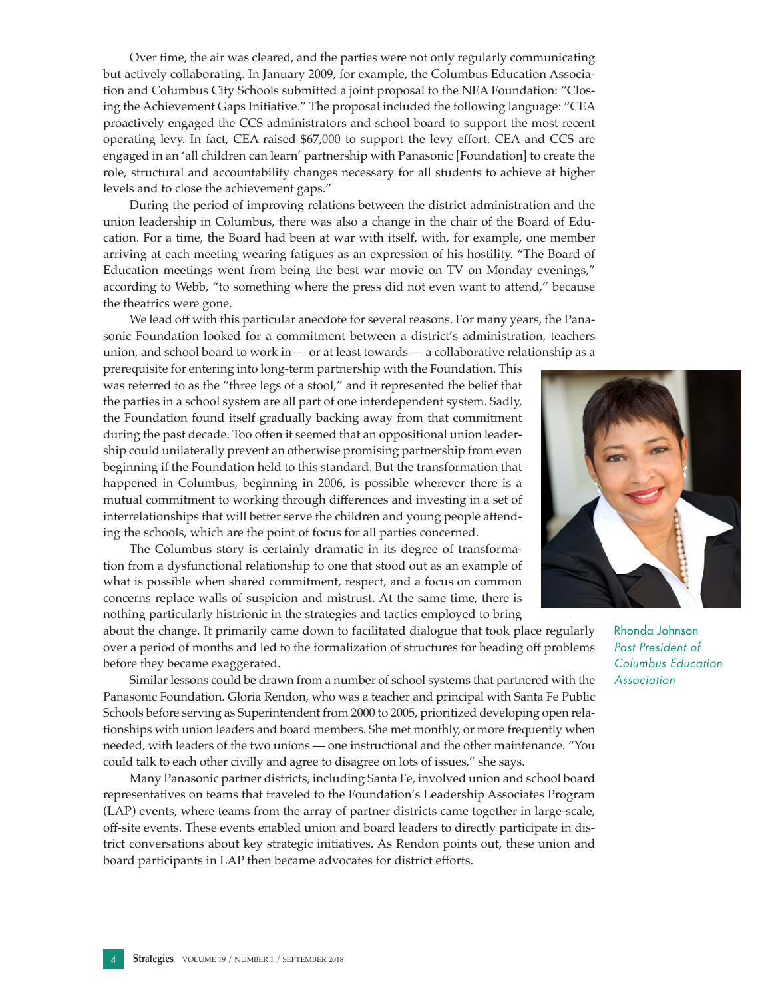Over time, the air was cleared, and the parties were not only regularly communicating but actively collaborating. In January 2009, for example, the Columbus Education Association and Columbus City Schools submitted a joint proposal to the NEA Foundation: "Closing the Achievement Gaps Initiative." The proposal included the following language: "CEA proactively engaged the CCS administrators and school board to support the most recent operating levy. In fact, CEA raised \$67,000 to support the levy effort. CEA and CCS are engaged in an 'all children can learn' partnership with Panasonic [Foundation] to create the role, structural and accountability changes necessary for all students to achieve at higher levels and to close the achievement gaps."

During the period of improving relations between the district administration and the union leadership in Columbus, there was also a change in the chair of the Board of Education. For a time, the Board had been at war with itself, with, for example, one member arriving at each meeting wearing fatigues as an expression of his hostility. "The Board of Education meetings went from being the best war movie on TV on Monday evenings," according to Webb, "to something where the press did not even want to attend," because the theatrics were gone.

We lead off with this particular anecdote for several reasons. For many years, the Panasonic Foundation looked for a commitment between a district's administration, teachers union, and school board to work in — or at least towards — a collaborative relationship as a

prerequisite for entering into long-term partnership with the Foundation. This was referred to as the "three legs of a stool," and it represented the belief that the parties in a school system are all part of one interdependent system. Sadly, the Foundation found itself gradually backing away from that commitment during the past decade. Too often it seemed that an oppositional union leadership could unilaterally prevent an otherwise promising partnership from even beginning if the Foundation held to this standard. But the transformation that happened in Columbus, beginning in 2006, is possible wherever there is a mutual commitment to working through differences and investing in a set of interrelationships that will better serve the children and young people attending the schools, which are the point of focus for all parties concerned.

The Columbus story is certainly dramatic in its degree of transformation from a dysfunctional relationship to one that stood out as an example of what is possible when shared commitment, respect, and a focus on common concerns replace walls of suspicion and mistrust. At the same time, there is nothing particularly histrionic in the strategies and tactics employed to bring

about the change. It primarily came down to facilitated dialogue that took place regularly over a period of months and led to the formalization of structures for heading off problems before they became exaggerated.

Similar lessons could be drawn from a number of school systems that partnered with the Panasonic Foundation. Gloria Rendon, who was a teacher and principal with Santa Fe Public Schools before serving as Superintendent from 2000 to 2005, prioritized developing open relationships with union leaders and board members. She met monthly, or more frequently when needed, with leaders of the two unions — one instructional and the other maintenance. "You could talk to each other civilly and agree to disagree on lots of issues," she says.

Many Panasonic partner districts, including Santa Fe, involved union and school board representatives on teams that traveled to the Foundation's Leadership Associates Program (LAP) events, where teams from the array of partner districts came together in large-scale, off-site events. These events enabled union and board leaders to directly participate in district conversations about key strategic initiatives. As Rendon points out, these union and board participants in LAP then became advocates for district efforts.



Rhonda Johnson *Past President of Columbus Education Association*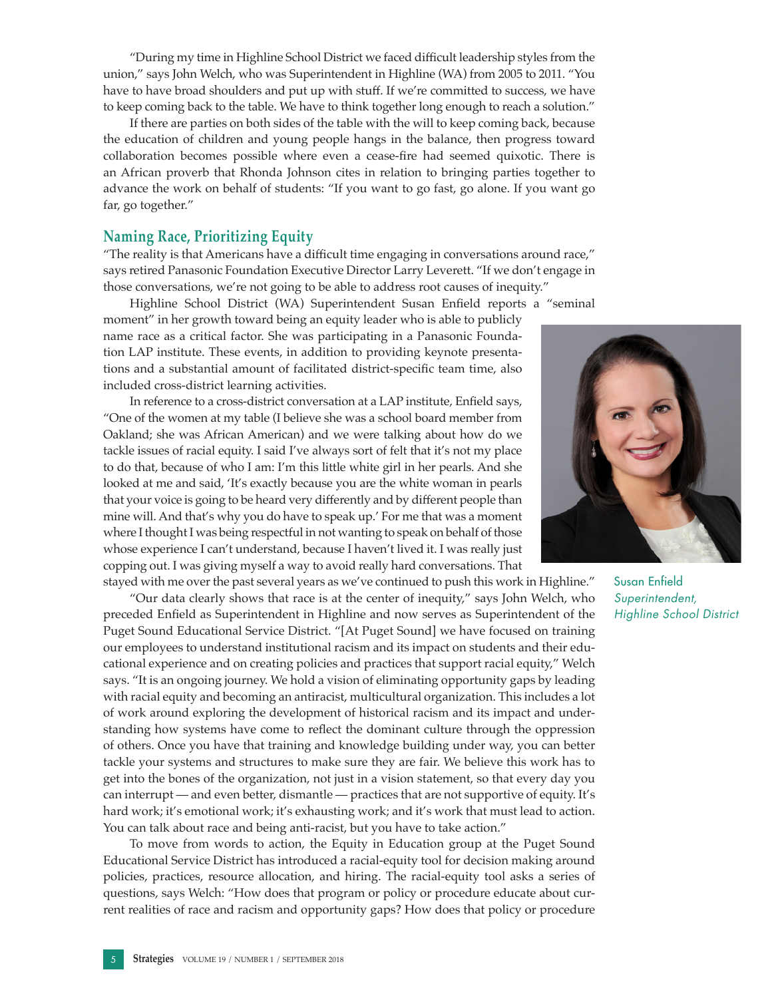"During my time in Highline School District we faced difficult leadership styles from the union," says John Welch, who was Superintendent in Highline (WA) from 2005 to 2011. "You have to have broad shoulders and put up with stuff. If we're committed to success, we have to keep coming back to the table. We have to think together long enough to reach a solution."

If there are parties on both sides of the table with the will to keep coming back, because the education of children and young people hangs in the balance, then progress toward collaboration becomes possible where even a cease-fire had seemed quixotic. There is an African proverb that Rhonda Johnson cites in relation to bringing parties together to advance the work on behalf of students: "If you want to go fast, go alone. If you want go far, go together."

#### **Naming Race, Prioritizing Equity**

"The reality is that Americans have a difficult time engaging in conversations around race," says retired Panasonic Foundation Executive Director Larry Leverett. "If we don't engage in those conversations, we're not going to be able to address root causes of inequity."

Highline School District (WA) Superintendent Susan Enfield reports a "seminal moment" in her growth toward being an equity leader who is able to publicly name race as a critical factor. She was participating in a Panasonic Foundation LAP institute. These events, in addition to providing keynote presentations and a substantial amount of facilitated district-specific team time, also included cross-district learning activities.

In reference to a cross-district conversation at a LAP institute, Enfield says, "One of the women at my table (I believe she was a school board member from Oakland; she was African American) and we were talking about how do we tackle issues of racial equity. I said I've always sort of felt that it's not my place to do that, because of who I am: I'm this little white girl in her pearls. And she looked at me and said, 'It's exactly because you are the white woman in pearls that your voice is going to be heard very differently and by different people than mine will. And that's why you do have to speak up.' For me that was a moment where I thought I was being respectful in not wanting to speak on behalf of those whose experience I can't understand, because I haven't lived it. I was really just copping out. I was giving myself a way to avoid really hard conversations. That stayed with me over the past several years as we've continued to push this work in Highline."

"Our data clearly shows that race is at the center of inequity," says John Welch, who preceded Enfield as Superintendent in Highline and now serves as Superintendent of the Puget Sound Educational Service District. "[At Puget Sound] we have focused on training our employees to understand institutional racism and its impact on students and their educational experience and on creating policies and practices that support racial equity," Welch says. "It is an ongoing journey. We hold a vision of eliminating opportunity gaps by leading with racial equity and becoming an antiracist, multicultural organization. This includes a lot of work around exploring the development of historical racism and its impact and understanding how systems have come to reflect the dominant culture through the oppression of others. Once you have that training and knowledge building under way, you can better tackle your systems and structures to make sure they are fair. We believe this work has to get into the bones of the organization, not just in a vision statement, so that every day you can interrupt — and even better, dismantle — practices that are not supportive of equity. It's hard work; it's emotional work; it's exhausting work; and it's work that must lead to action. You can talk about race and being anti-racist, but you have to take action."

To move from words to action, the Equity in Education group at the Puget Sound Educational Service District has introduced a racial-equity tool for decision making around policies, practices, resource allocation, and hiring. The racial-equity tool asks a series of questions, says Welch: "How does that program or policy or procedure educate about current realities of race and racism and opportunity gaps? How does that policy or procedure



Susan Enfield *Superintendent, Highline School District*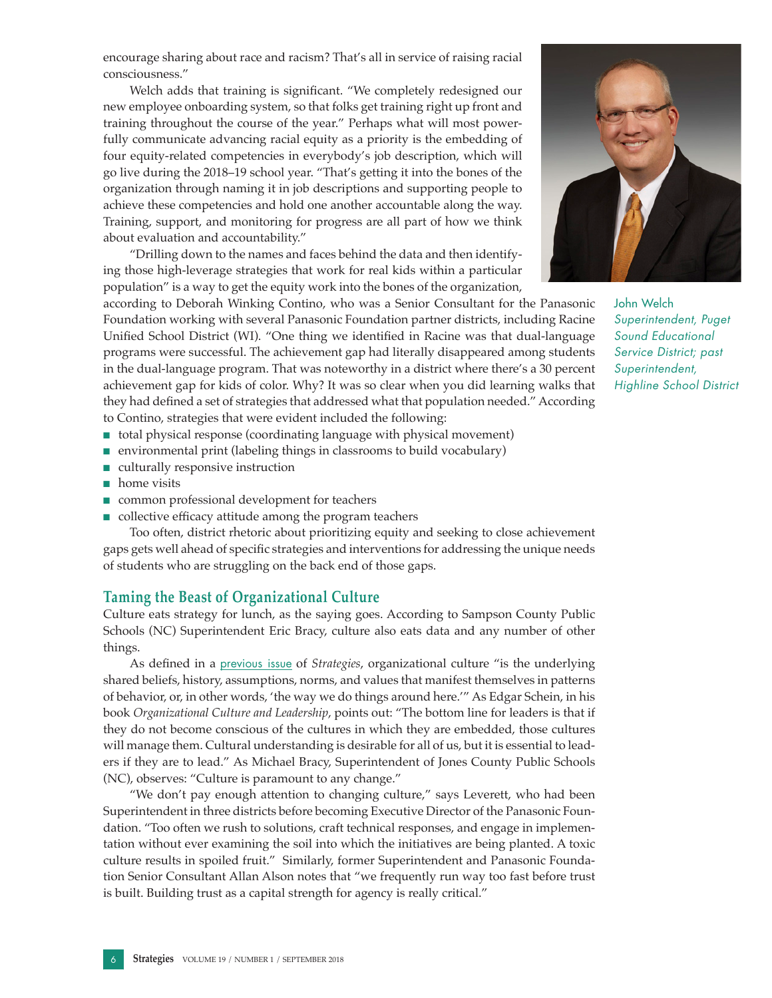encourage sharing about race and racism? That's all in service of raising racial consciousness."

Welch adds that training is significant. "We completely redesigned our new employee onboarding system, so that folks get training right up front and training throughout the course of the year." Perhaps what will most powerfully communicate advancing racial equity as a priority is the embedding of four equity-related competencies in everybody's job description, which will go live during the 2018–19 school year. "That's getting it into the bones of the organization through naming it in job descriptions and supporting people to achieve these competencies and hold one another accountable along the way. Training, support, and monitoring for progress are all part of how we think about evaluation and accountability."

"Drilling down to the names and faces behind the data and then identifying those high-leverage strategies that work for real kids within a particular population" is a way to get the equity work into the bones of the organization,

according to Deborah Winking Contino, who was a Senior Consultant for the Panasonic Foundation working with several Panasonic Foundation partner districts, including Racine Unified School District (WI). "One thing we identified in Racine was that dual-language programs were successful. The achievement gap had literally disappeared among students in the dual-language program. That was noteworthy in a district where there's a 30 percent achievement gap for kids of color. Why? It was so clear when you did learning walks that they had defined a set of strategies that addressed what that population needed." According to Contino, strategies that were evident included the following:

- total physical response (coordinating language with physical movement)
- 
- environmental print (labeling things in classrooms to build vocabulary)
- culturally responsive instruction
- home visits
- common professional development for teachers
- collective efficacy attitude among the program teachers

Too often, district rhetoric about prioritizing equity and seeking to close achievement gaps gets well ahead of specific strategies and interventions for addressing the unique needs of students who are struggling on the back end of those gaps.

#### **Taming the Beast of Organizational Culture**

Culture eats strategy for lunch, as the saying goes. According to Sampson County Public Schools (NC) Superintendent Eric Bracy, culture also eats data and any number of other things.

As defined in a [previous issue](http://www.aasa.org/uploadedFiles/Resources/White_Papers/Strategies/StrategiesFall05Final.pdf) of *Strategies*, organizational culture "is the underlying shared beliefs, history, assumptions, norms, and values that manifest themselves in patterns of behavior, or, in other words, 'the way we do things around here.'" As Edgar Schein, in his book *Organizational Culture and Leadership*, points out: "The bottom line for leaders is that if they do not become conscious of the cultures in which they are embedded, those cultures will manage them. Cultural understanding is desirable for all of us, but it is essential to leaders if they are to lead." As Michael Bracy, Superintendent of Jones County Public Schools (NC), observes: "Culture is paramount to any change."

"We don't pay enough attention to changing culture," says Leverett, who had been Superintendent in three districts before becoming Executive Director of the Panasonic Foundation. "Too often we rush to solutions, craft technical responses, and engage in implementation without ever examining the soil into which the initiatives are being planted. A toxic culture results in spoiled fruit." Similarly, former Superintendent and Panasonic Foundation Senior Consultant Allan Alson notes that "we frequently run way too fast before trust is built. Building trust as a capital strength for agency is really critical."



John Welch *Superintendent, Puget Sound Educational Service District; past Superintendent, Highline School District*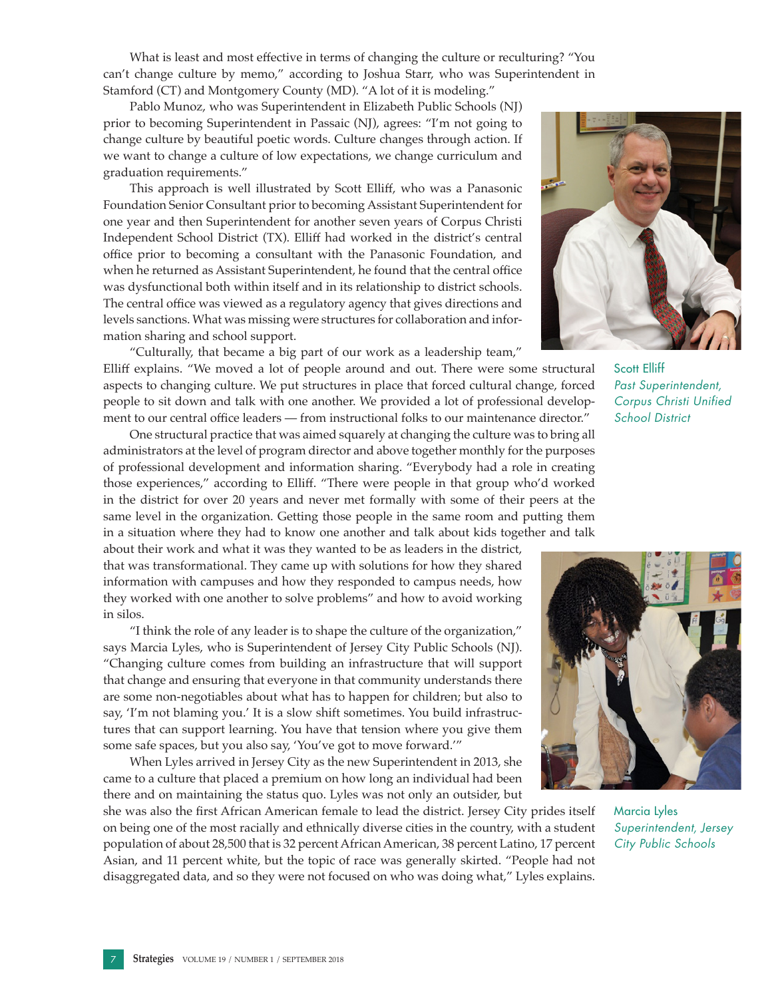What is least and most effective in terms of changing the culture or reculturing? "You can't change culture by memo," according to Joshua Starr, who was Superintendent in Stamford (CT) and Montgomery County (MD). "A lot of it is modeling."

Pablo Munoz, who was Superintendent in Elizabeth Public Schools (NJ) prior to becoming Superintendent in Passaic (NJ), agrees: "I'm not going to change culture by beautiful poetic words. Culture changes through action. If we want to change a culture of low expectations, we change curriculum and graduation requirements."

This approach is well illustrated by Scott Elliff, who was a Panasonic Foundation Senior Consultant prior to becoming Assistant Superintendent for one year and then Superintendent for another seven years of Corpus Christi Independent School District (TX). Elliff had worked in the district's central office prior to becoming a consultant with the Panasonic Foundation, and when he returned as Assistant Superintendent, he found that the central office was dysfunctional both within itself and in its relationship to district schools. The central office was viewed as a regulatory agency that gives directions and levels sanctions. What was missing were structures for collaboration and information sharing and school support.

"Culturally, that became a big part of our work as a leadership team," Elliff explains. "We moved a lot of people around and out. There were some structural aspects to changing culture. We put structures in place that forced cultural change, forced people to sit down and talk with one another. We provided a lot of professional development to our central office leaders — from instructional folks to our maintenance director."

One structural practice that was aimed squarely at changing the culture was to bring all administrators at the level of program director and above together monthly for the purposes of professional development and information sharing. "Everybody had a role in creating those experiences," according to Elliff. "There were people in that group who'd worked in the district for over 20 years and never met formally with some of their peers at the same level in the organization. Getting those people in the same room and putting them in a situation where they had to know one another and talk about kids together and talk

about their work and what it was they wanted to be as leaders in the district, that was transformational. They came up with solutions for how they shared information with campuses and how they responded to campus needs, how they worked with one another to solve problems" and how to avoid working in silos.

"I think the role of any leader is to shape the culture of the organization," says Marcia Lyles, who is Superintendent of Jersey City Public Schools (NJ). "Changing culture comes from building an infrastructure that will support that change and ensuring that everyone in that community understands there are some non-negotiables about what has to happen for children; but also to say, 'I'm not blaming you.' It is a slow shift sometimes. You build infrastructures that can support learning. You have that tension where you give them some safe spaces, but you also say, 'You've got to move forward.'"

When Lyles arrived in Jersey City as the new Superintendent in 2013, she came to a culture that placed a premium on how long an individual had been there and on maintaining the status quo. Lyles was not only an outsider, but

she was also the first African American female to lead the district. Jersey City prides itself on being one of the most racially and ethnically diverse cities in the country, with a student population of about 28,500 that is 32 percent African American, 38 percent Latino, 17 percent Asian, and 11 percent white, but the topic of race was generally skirted. "People had not disaggregated data, and so they were not focused on who was doing what," Lyles explains.



Scott Elliff *Past Superintendent, Corpus Christi Unified School District*



Marcia Lyles *Superintendent, Jersey City Public Schools*

7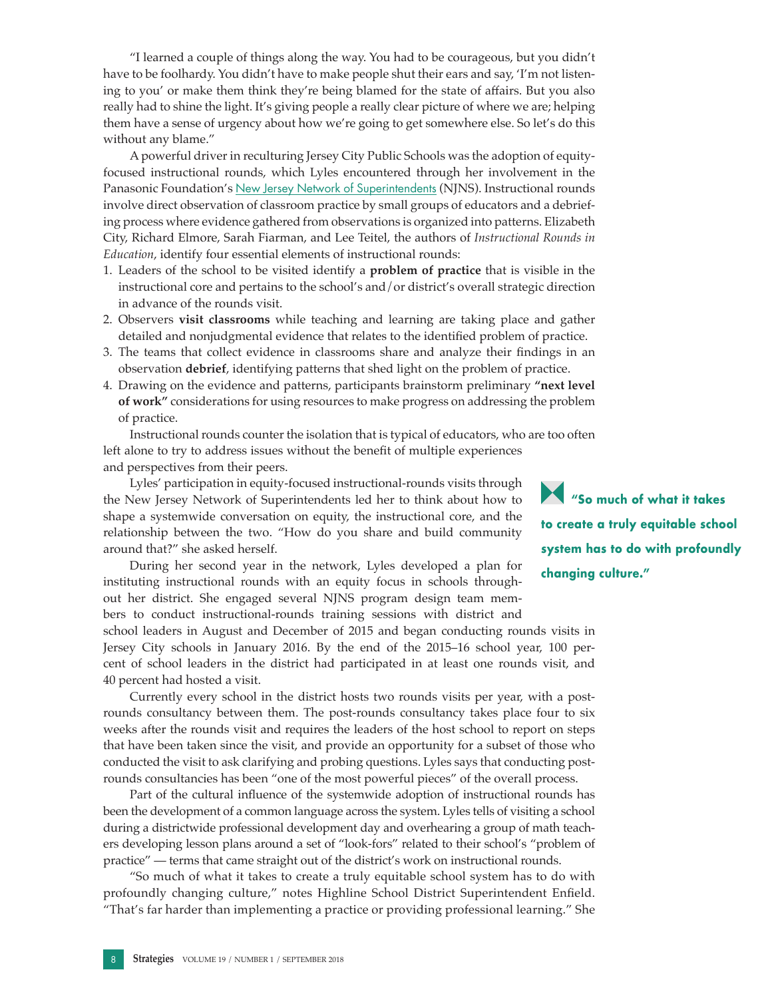"I learned a couple of things along the way. You had to be courageous, but you didn't have to be foolhardy. You didn't have to make people shut their ears and say, 'I'm not listening to you' or make them think they're being blamed for the state of affairs. But you also really had to shine the light. It's giving people a really clear picture of where we are; helping them have a sense of urgency about how we're going to get somewhere else. So let's do this without any blame."

A powerful driver in reculturing Jersey City Public Schools was the adoption of equityfocused instructional rounds, which Lyles encountered through her involvement in the Panasonic Foundation's [New Jersey Network of Superintendents](http://www.aasa.org/uploadedFiles/Resources/Other_Resources/StrategiesNov-2011.pdf) (NJNS). Instructional rounds involve direct observation of classroom practice by small groups of educators and a debriefing process where evidence gathered from observations is organized into patterns. Elizabeth City, Richard Elmore, Sarah Fiarman, and Lee Teitel, the authors of *Instructional Rounds in Education*, identify four essential elements of instructional rounds:

- 1. Leaders of the school to be visited identify a **problem of practice** that is visible in the instructional core and pertains to the school's and/or district's overall strategic direction in advance of the rounds visit.
- 2. Observers **visit classrooms** while teaching and learning are taking place and gather detailed and nonjudgmental evidence that relates to the identified problem of practice.
- 3. The teams that collect evidence in classrooms share and analyze their findings in an observation **debrief**, identifying patterns that shed light on the problem of practice.
- 4. Drawing on the evidence and patterns, participants brainstorm preliminary **"next level of work"** considerations for using resources to make progress on addressing the problem of practice.

Instructional rounds counter the isolation that is typical of educators, who are too often left alone to try to address issues without the benefit of multiple experiences and perspectives from their peers.

Lyles' participation in equity-focused instructional-rounds visits through the New Jersey Network of Superintendents led her to think about how to shape a systemwide conversation on equity, the instructional core, and the relationship between the two. "How do you share and build community around that?" she asked herself.

During her second year in the network, Lyles developed a plan for instituting instructional rounds with an equity focus in schools throughout her district. She engaged several NJNS program design team members to conduct instructional-rounds training sessions with district and

school leaders in August and December of 2015 and began conducting rounds visits in Jersey City schools in January 2016. By the end of the 2015–16 school year, 100 percent of school leaders in the district had participated in at least one rounds visit, and 40 percent had hosted a visit.

Currently every school in the district hosts two rounds visits per year, with a postrounds consultancy between them. The post-rounds consultancy takes place four to six weeks after the rounds visit and requires the leaders of the host school to report on steps that have been taken since the visit, and provide an opportunity for a subset of those who conducted the visit to ask clarifying and probing questions. Lyles says that conducting postrounds consultancies has been "one of the most powerful pieces" of the overall process.

Part of the cultural influence of the systemwide adoption of instructional rounds has been the development of a common language across the system. Lyles tells of visiting a school during a districtwide professional development day and overhearing a group of math teachers developing lesson plans around a set of "look-fors" related to their school's "problem of practice" — terms that came straight out of the district's work on instructional rounds.

"So much of what it takes to create a truly equitable school system has to do with profoundly changing culture," notes Highline School District Superintendent Enfield. "That's far harder than implementing a practice or providing professional learning." She

**"So much of what it takes to create a truly equitable school system has to do with profoundly changing culture."**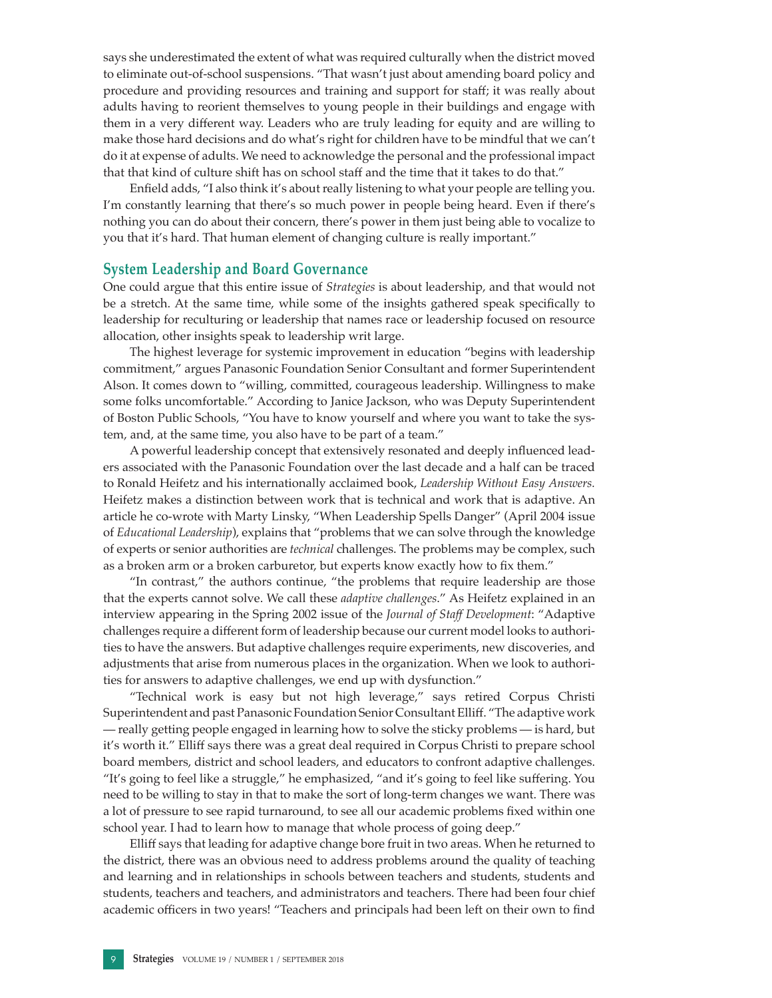says she underestimated the extent of what was required culturally when the district moved to eliminate out-of-school suspensions. "That wasn't just about amending board policy and procedure and providing resources and training and support for staff; it was really about adults having to reorient themselves to young people in their buildings and engage with them in a very different way. Leaders who are truly leading for equity and are willing to make those hard decisions and do what's right for children have to be mindful that we can't do it at expense of adults. We need to acknowledge the personal and the professional impact that that kind of culture shift has on school staff and the time that it takes to do that."

Enfield adds, "I also think it's about really listening to what your people are telling you. I'm constantly learning that there's so much power in people being heard. Even if there's nothing you can do about their concern, there's power in them just being able to vocalize to you that it's hard. That human element of changing culture is really important."

#### **System Leadership and Board Governance**

One could argue that this entire issue of *Strategies* is about leadership, and that would not be a stretch. At the same time, while some of the insights gathered speak specifically to leadership for reculturing or leadership that names race or leadership focused on resource allocation, other insights speak to leadership writ large.

The highest leverage for systemic improvement in education "begins with leadership commitment," argues Panasonic Foundation Senior Consultant and former Superintendent Alson. It comes down to "willing, committed, courageous leadership. Willingness to make some folks uncomfortable." According to Janice Jackson, who was Deputy Superintendent of Boston Public Schools, "You have to know yourself and where you want to take the system, and, at the same time, you also have to be part of a team."

A powerful leadership concept that extensively resonated and deeply influenced leaders associated with the Panasonic Foundation over the last decade and a half can be traced to Ronald Heifetz and his internationally acclaimed book, *Leadership Without Easy Answers.*  Heifetz makes a distinction between work that is technical and work that is adaptive. An article he co-wrote with Marty Linsky, "When Leadership Spells Danger" (April 2004 issue of *Educational Leadership*), explains that "problems that we can solve through the knowledge of experts or senior authorities are *technical* challenges. The problems may be complex, such as a broken arm or a broken carburetor, but experts know exactly how to fix them."

"In contrast," the authors continue, "the problems that require leadership are those that the experts cannot solve. We call these *adaptive challenges*." As Heifetz explained in an interview appearing in the Spring 2002 issue of the *Journal of Staff Development*: "Adaptive challenges require a different form of leadership because our current model looks to authorities to have the answers. But adaptive challenges require experiments, new discoveries, and adjustments that arise from numerous places in the organization. When we look to authorities for answers to adaptive challenges, we end up with dysfunction."

"Technical work is easy but not high leverage," says retired Corpus Christi Superintendent and past Panasonic Foundation Senior Consultant Elliff. "The adaptive work — really getting people engaged in learning how to solve the sticky problems — is hard, but it's worth it." Elliff says there was a great deal required in Corpus Christi to prepare school board members, district and school leaders, and educators to confront adaptive challenges. "It's going to feel like a struggle," he emphasized, "and it's going to feel like suffering. You need to be willing to stay in that to make the sort of long-term changes we want. There was a lot of pressure to see rapid turnaround, to see all our academic problems fixed within one school year. I had to learn how to manage that whole process of going deep."

Elliff says that leading for adaptive change bore fruit in two areas. When he returned to the district, there was an obvious need to address problems around the quality of teaching and learning and in relationships in schools between teachers and students, students and students, teachers and teachers, and administrators and teachers. There had been four chief academic officers in two years! "Teachers and principals had been left on their own to find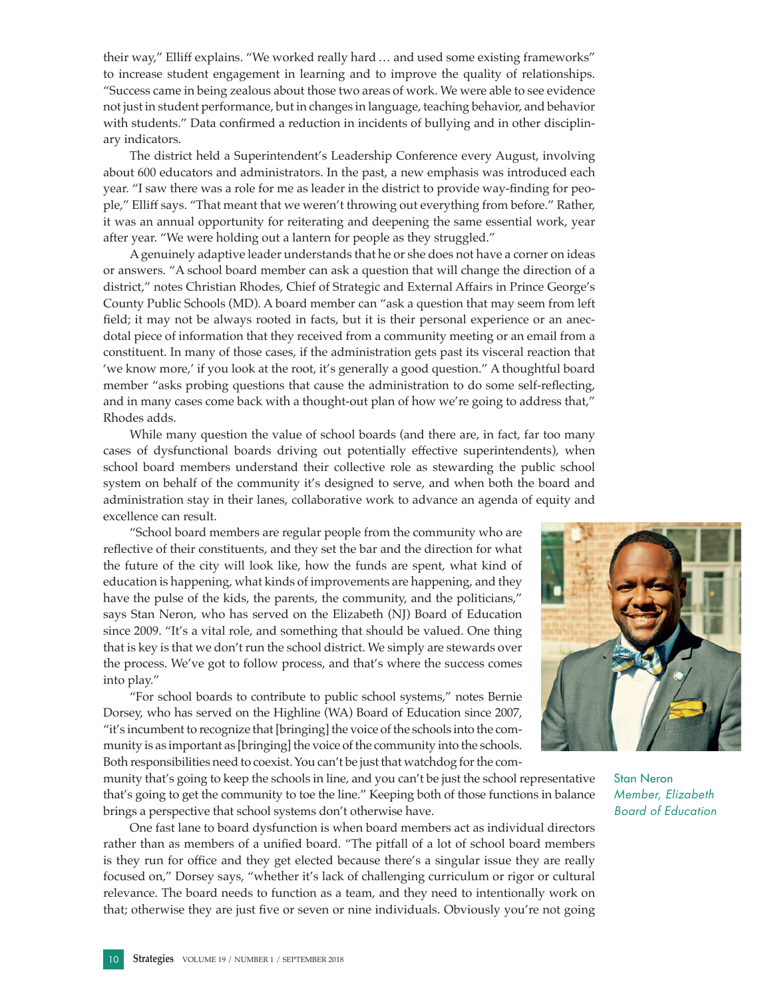to increase student engagement in learning and to improve the quality of relationships. "Success came in being zealous about those two areas of work. We were able to see evidence not just in student performance, but in changes in language, teaching behavior, and behavior with students." Data confirmed a reduction in incidents of bullying and in other disciplinary indicators. The district held a Superintendent's Leadership Conference every August, involving

their way," Elliff explains. "We worked really hard … and used some existing frameworks"

about 600 educators and administrators. In the past, a new emphasis was introduced each year. "I saw there was a role for me as leader in the district to provide way-finding for people," Elliff says. "That meant that we weren't throwing out everything from before." Rather, it was an annual opportunity for reiterating and deepening the same essential work, year after year. "We were holding out a lantern for people as they struggled."

A genuinely adaptive leader understands that he or she does not have a corner on ideas or answers. "A school board member can ask a question that will change the direction of a district," notes Christian Rhodes, Chief of Strategic and External Affairs in Prince George's County Public Schools (MD). A board member can "ask a question that may seem from left field; it may not be always rooted in facts, but it is their personal experience or an anecdotal piece of information that they received from a community meeting or an email from a constituent. In many of those cases, if the administration gets past its visceral reaction that 'we know more,' if you look at the root, it's generally a good question." A thoughtful board member "asks probing questions that cause the administration to do some self-reflecting, and in many cases come back with a thought-out plan of how we're going to address that," Rhodes adds.

While many question the value of school boards (and there are, in fact, far too many cases of dysfunctional boards driving out potentially effective superintendents), when school board members understand their collective role as stewarding the public school system on behalf of the community it's designed to serve, and when both the board and administration stay in their lanes, collaborative work to advance an agenda of equity and excellence can result.

"School board members are regular people from the community who are reflective of their constituents, and they set the bar and the direction for what the future of the city will look like, how the funds are spent, what kind of education is happening, what kinds of improvements are happening, and they have the pulse of the kids, the parents, the community, and the politicians," says Stan Neron, who has served on the Elizabeth (NJ) Board of Education since 2009. "It's a vital role, and something that should be valued. One thing that is key is that we don't run the school district. We simply are stewards over the process. We've got to follow process, and that's where the success comes into play."

"For school boards to contribute to public school systems," notes Bernie Dorsey, who has served on the Highline (WA) Board of Education since 2007, "it's incumbent to recognize that [bringing] the voice of the schools into the community is as important as [bringing] the voice of the community into the schools. Both responsibilities need to coexist. You can't be just that watchdog for the com-

munity that's going to keep the schools in line, and you can't be just the school representative that's going to get the community to toe the line." Keeping both of those functions in balance brings a perspective that school systems don't otherwise have.

One fast lane to board dysfunction is when board members act as individual directors rather than as members of a unified board. "The pitfall of a lot of school board members is they run for office and they get elected because there's a singular issue they are really focused on," Dorsey says, "whether it's lack of challenging curriculum or rigor or cultural relevance. The board needs to function as a team, and they need to intentionally work on that; otherwise they are just five or seven or nine individuals. Obviously you're not going

Stan Neron

*Member, Elizabeth Board of Education* 

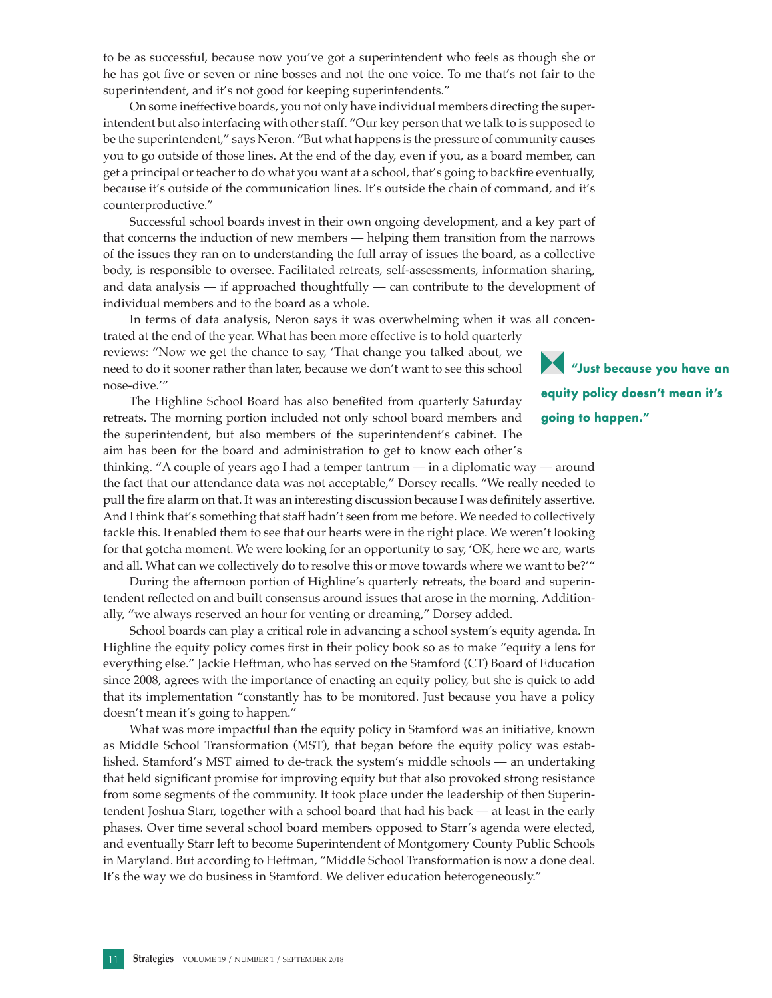to be as successful, because now you've got a superintendent who feels as though she or he has got five or seven or nine bosses and not the one voice. To me that's not fair to the superintendent, and it's not good for keeping superintendents."

On some ineffective boards, you not only have individual members directing the superintendent but also interfacing with other staff. "Our key person that we talk to is supposed to be the superintendent," says Neron. "But what happens is the pressure of community causes you to go outside of those lines. At the end of the day, even if you, as a board member, can get a principal or teacher to do what you want at a school, that's going to backfire eventually, because it's outside of the communication lines. It's outside the chain of command, and it's counterproductive."

Successful school boards invest in their own ongoing development, and a key part of that concerns the induction of new members — helping them transition from the narrows of the issues they ran on to understanding the full array of issues the board, as a collective body, is responsible to oversee. Facilitated retreats, self-assessments, information sharing, and data analysis — if approached thoughtfully — can contribute to the development of individual members and to the board as a whole.

In terms of data analysis, Neron says it was overwhelming when it was all concentrated at the end of the year. What has been more effective is to hold quarterly reviews: "Now we get the chance to say, 'That change you talked about, we need to do it sooner rather than later, because we don't want to see this school nose-dive.'"

The Highline School Board has also benefited from quarterly Saturday retreats. The morning portion included not only school board members and the superintendent, but also members of the superintendent's cabinet. The aim has been for the board and administration to get to know each other's

thinking. "A couple of years ago I had a temper tantrum — in a diplomatic way — around the fact that our attendance data was not acceptable," Dorsey recalls. "We really needed to pull the fire alarm on that. It was an interesting discussion because I was definitely assertive. And I think that's something that staff hadn't seen from me before. We needed to collectively tackle this. It enabled them to see that our hearts were in the right place. We weren't looking for that gotcha moment. We were looking for an opportunity to say, 'OK, here we are, warts and all. What can we collectively do to resolve this or move towards where we want to be?'"

During the afternoon portion of Highline's quarterly retreats, the board and superintendent reflected on and built consensus around issues that arose in the morning. Additionally, "we always reserved an hour for venting or dreaming," Dorsey added.

School boards can play a critical role in advancing a school system's equity agenda. In Highline the equity policy comes first in their policy book so as to make "equity a lens for everything else." Jackie Heftman, who has served on the Stamford (CT) Board of Education since 2008, agrees with the importance of enacting an equity policy, but she is quick to add that its implementation "constantly has to be monitored. Just because you have a policy doesn't mean it's going to happen."

What was more impactful than the equity policy in Stamford was an initiative, known as Middle School Transformation (MST), that began before the equity policy was established. Stamford's MST aimed to de-track the system's middle schools — an undertaking that held significant promise for improving equity but that also provoked strong resistance from some segments of the community. It took place under the leadership of then Superintendent Joshua Starr, together with a school board that had his back — at least in the early phases. Over time several school board members opposed to Starr's agenda were elected, and eventually Starr left to become Superintendent of Montgomery County Public Schools in Maryland. But according to Heftman, "Middle School Transformation is now a done deal. It's the way we do business in Stamford. We deliver education heterogeneously."

**"Just because you have an equity policy doesn't mean it's going to happen."**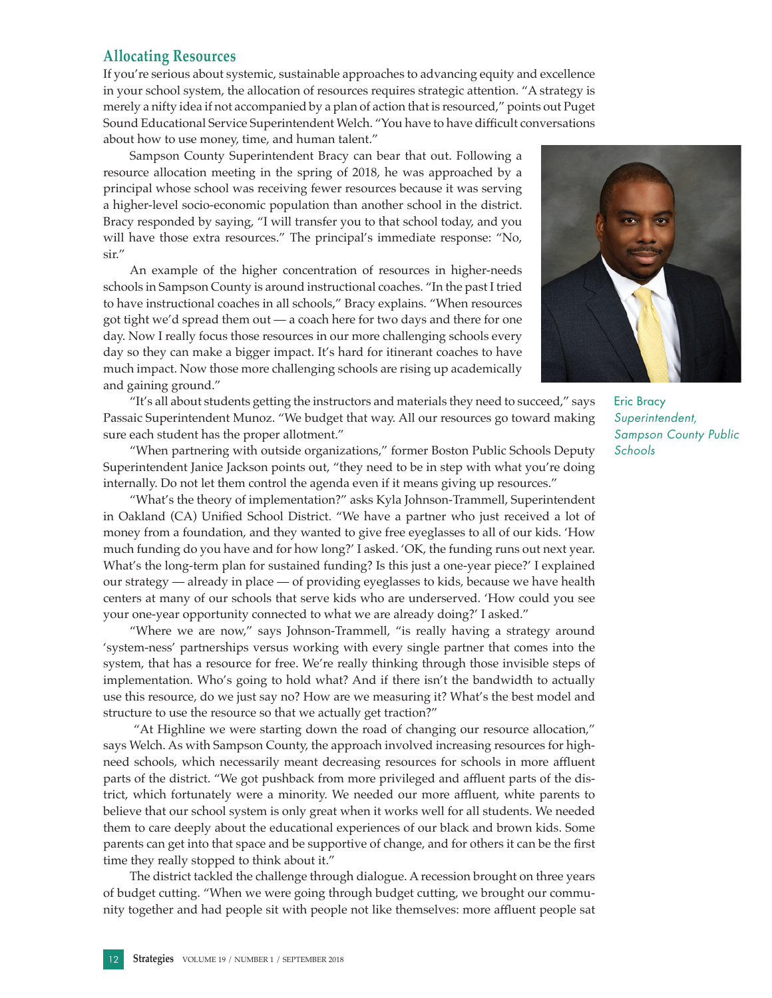## **Allocating Resources**

If you're serious about systemic, sustainable approaches to advancing equity and excellence in your school system, the allocation of resources requires strategic attention. "A strategy is merely a nifty idea if not accompanied by a plan of action that is resourced," points out Puget Sound Educational Service Superintendent Welch. "You have to have difficult conversations about how to use money, time, and human talent."

Sampson County Superintendent Bracy can bear that out. Following a resource allocation meeting in the spring of 2018, he was approached by a principal whose school was receiving fewer resources because it was serving a higher-level socio-economic population than another school in the district. Bracy responded by saying, "I will transfer you to that school today, and you will have those extra resources." The principal's immediate response: "No, sir."

An example of the higher concentration of resources in higher-needs schools in Sampson County is around instructional coaches. "In the past I tried to have instructional coaches in all schools," Bracy explains. "When resources got tight we'd spread them out — a coach here for two days and there for one day. Now I really focus those resources in our more challenging schools every day so they can make a bigger impact. It's hard for itinerant coaches to have much impact. Now those more challenging schools are rising up academically and gaining ground."

"It's all about students getting the instructors and materials they need to succeed," says Passaic Superintendent Munoz. "We budget that way. All our resources go toward making sure each student has the proper allotment."

"When partnering with outside organizations," former Boston Public Schools Deputy Superintendent Janice Jackson points out, "they need to be in step with what you're doing internally. Do not let them control the agenda even if it means giving up resources."

"What's the theory of implementation?" asks Kyla Johnson-Trammell, Superintendent in Oakland (CA) Unified School District. "We have a partner who just received a lot of money from a foundation, and they wanted to give free eyeglasses to all of our kids. 'How much funding do you have and for how long?' I asked. 'OK, the funding runs out next year. What's the long-term plan for sustained funding? Is this just a one-year piece?' I explained our strategy — already in place — of providing eyeglasses to kids, because we have health centers at many of our schools that serve kids who are underserved. 'How could you see your one-year opportunity connected to what we are already doing?' I asked."

"Where we are now," says Johnson-Trammell, "is really having a strategy around 'system-ness' partnerships versus working with every single partner that comes into the system, that has a resource for free. We're really thinking through those invisible steps of implementation. Who's going to hold what? And if there isn't the bandwidth to actually use this resource, do we just say no? How are we measuring it? What's the best model and structure to use the resource so that we actually get traction?"

 "At Highline we were starting down the road of changing our resource allocation," says Welch. As with Sampson County, the approach involved increasing resources for highneed schools, which necessarily meant decreasing resources for schools in more affluent parts of the district. "We got pushback from more privileged and affluent parts of the district, which fortunately were a minority. We needed our more affluent, white parents to believe that our school system is only great when it works well for all students. We needed them to care deeply about the educational experiences of our black and brown kids. Some parents can get into that space and be supportive of change, and for others it can be the first time they really stopped to think about it."

The district tackled the challenge through dialogue. A recession brought on three years of budget cutting. "When we were going through budget cutting, we brought our community together and had people sit with people not like themselves: more affluent people sat



Eric Bracy *Superintendent, Sampson County Public Schools*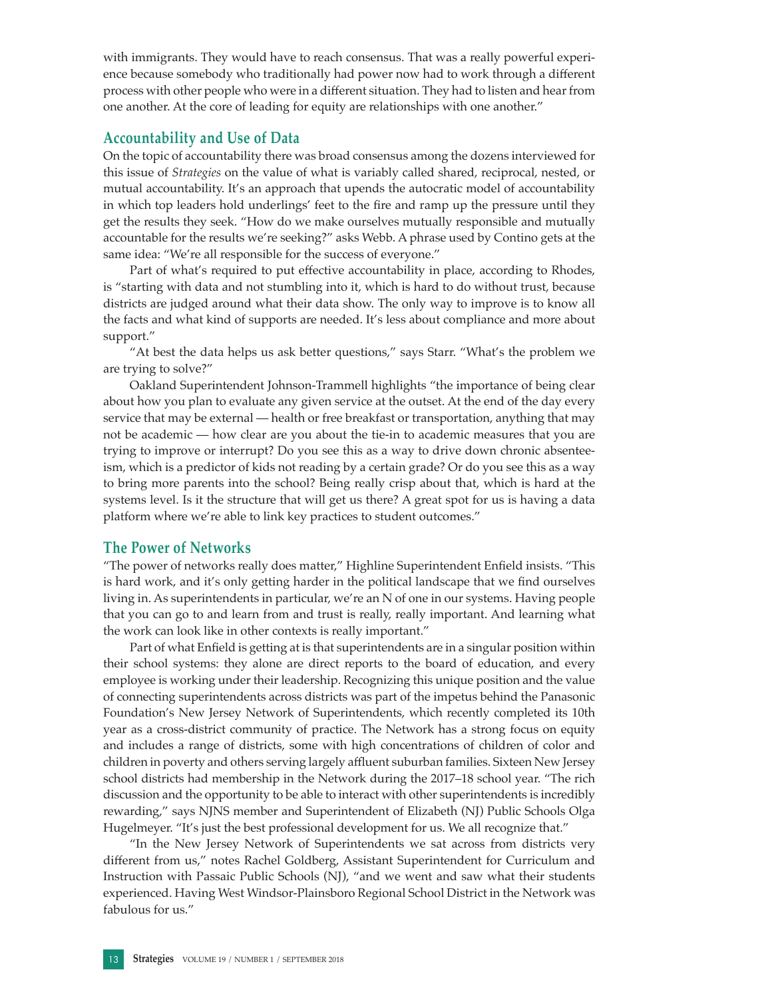with immigrants. They would have to reach consensus. That was a really powerful experience because somebody who traditionally had power now had to work through a different process with other people who were in a different situation. They had to listen and hear from one another. At the core of leading for equity are relationships with one another."

### **Accountability and Use of Data**

On the topic of accountability there was broad consensus among the dozens interviewed for this issue of *Strategies* on the value of what is variably called shared, reciprocal, nested, or mutual accountability. It's an approach that upends the autocratic model of accountability in which top leaders hold underlings' feet to the fire and ramp up the pressure until they get the results they seek. "How do we make ourselves mutually responsible and mutually accountable for the results we're seeking?" asks Webb. A phrase used by Contino gets at the same idea: "We're all responsible for the success of everyone."

Part of what's required to put effective accountability in place, according to Rhodes, is "starting with data and not stumbling into it, which is hard to do without trust, because districts are judged around what their data show. The only way to improve is to know all the facts and what kind of supports are needed. It's less about compliance and more about support."

"At best the data helps us ask better questions," says Starr. "What's the problem we are trying to solve?"

Oakland Superintendent Johnson-Trammell highlights "the importance of being clear about how you plan to evaluate any given service at the outset. At the end of the day every service that may be external — health or free breakfast or transportation, anything that may not be academic — how clear are you about the tie-in to academic measures that you are trying to improve or interrupt? Do you see this as a way to drive down chronic absenteeism, which is a predictor of kids not reading by a certain grade? Or do you see this as a way to bring more parents into the school? Being really crisp about that, which is hard at the systems level. Is it the structure that will get us there? A great spot for us is having a data platform where we're able to link key practices to student outcomes."

### **The Power of Networks**

"The power of networks really does matter," Highline Superintendent Enfield insists. "This is hard work, and it's only getting harder in the political landscape that we find ourselves living in. As superintendents in particular, we're an N of one in our systems. Having people that you can go to and learn from and trust is really, really important. And learning what the work can look like in other contexts is really important."

Part of what Enfield is getting at is that superintendents are in a singular position within their school systems: they alone are direct reports to the board of education, and every employee is working under their leadership. Recognizing this unique position and the value of connecting superintendents across districts was part of the impetus behind the Panasonic Foundation's New Jersey Network of Superintendents, which recently completed its 10th year as a cross-district community of practice. The Network has a strong focus on equity and includes a range of districts, some with high concentrations of children of color and children in poverty and others serving largely affluent suburban families. Sixteen New Jersey school districts had membership in the Network during the 2017–18 school year. "The rich discussion and the opportunity to be able to interact with other superintendents is incredibly rewarding," says NJNS member and Superintendent of Elizabeth (NJ) Public Schools Olga Hugelmeyer. "It's just the best professional development for us. We all recognize that."

"In the New Jersey Network of Superintendents we sat across from districts very different from us," notes Rachel Goldberg, Assistant Superintendent for Curriculum and Instruction with Passaic Public Schools (NJ), "and we went and saw what their students experienced. Having West Windsor-Plainsboro Regional School District in the Network was fabulous for us."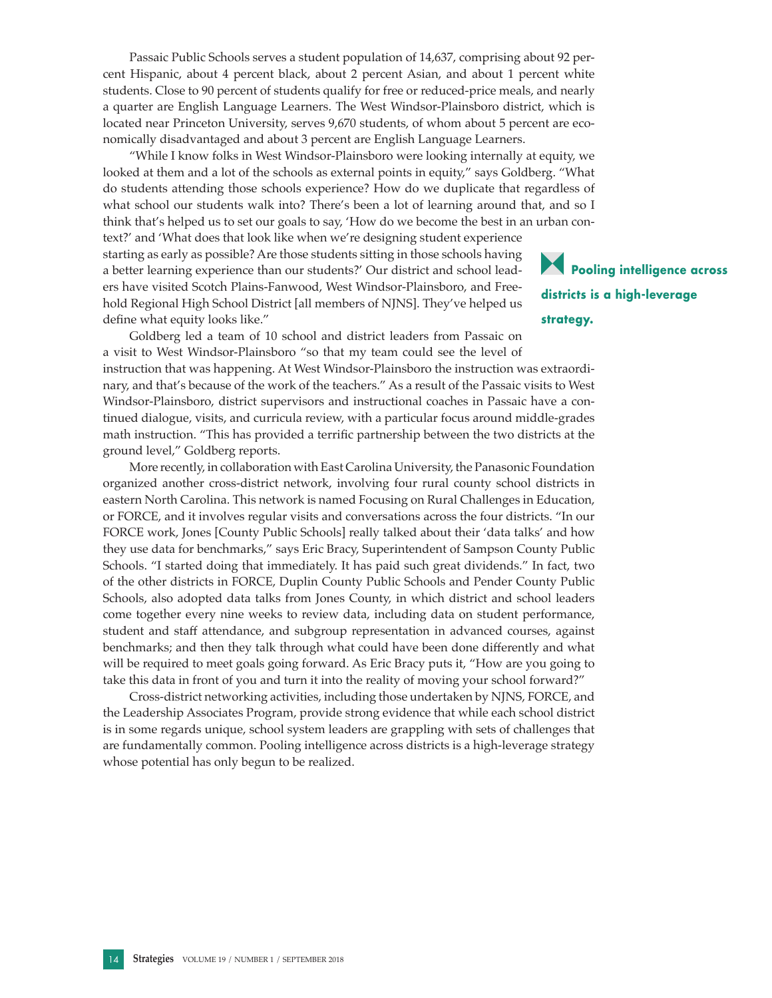Passaic Public Schools serves a student population of 14,637, comprising about 92 percent Hispanic, about 4 percent black, about 2 percent Asian, and about 1 percent white students. Close to 90 percent of students qualify for free or reduced-price meals, and nearly a quarter are English Language Learners. The West Windsor-Plainsboro district, which is located near Princeton University, serves 9,670 students, of whom about 5 percent are economically disadvantaged and about 3 percent are English Language Learners.

"While I know folks in West Windsor-Plainsboro were looking internally at equity, we looked at them and a lot of the schools as external points in equity," says Goldberg. "What do students attending those schools experience? How do we duplicate that regardless of what school our students walk into? There's been a lot of learning around that, and so I think that's helped us to set our goals to say, 'How do we become the best in an urban context?' and 'What does that look like when we're designing student experience starting as early as possible? Are those students sitting in those schools having a better learning experience than our students?' Our district and school leaders have visited Scotch Plains-Fanwood, West Windsor-Plainsboro, and Freehold Regional High School District [all members of NJNS]. They've helped us define what equity looks like."

**Pooling intelligence across districts is a high-leverage strategy.**

Goldberg led a team of 10 school and district leaders from Passaic on a visit to West Windsor-Plainsboro "so that my team could see the level of instruction that was happening. At West Windsor-Plainsboro the instruction was extraordinary, and that's because of the work of the teachers." As a result of the Passaic visits to West Windsor-Plainsboro, district supervisors and instructional coaches in Passaic have a continued dialogue, visits, and curricula review, with a particular focus around middle-grades math instruction. "This has provided a terrific partnership between the two districts at the ground level," Goldberg reports.

More recently, in collaboration with East Carolina University, the Panasonic Foundation organized another cross-district network, involving four rural county school districts in eastern North Carolina. This network is named Focusing on Rural Challenges in Education, or FORCE, and it involves regular visits and conversations across the four districts. "In our FORCE work, Jones [County Public Schools] really talked about their 'data talks' and how they use data for benchmarks," says Eric Bracy, Superintendent of Sampson County Public Schools. "I started doing that immediately. It has paid such great dividends." In fact, two of the other districts in FORCE, Duplin County Public Schools and Pender County Public Schools, also adopted data talks from Jones County, in which district and school leaders come together every nine weeks to review data, including data on student performance, student and staff attendance, and subgroup representation in advanced courses, against benchmarks; and then they talk through what could have been done differently and what will be required to meet goals going forward. As Eric Bracy puts it, "How are you going to take this data in front of you and turn it into the reality of moving your school forward?"

Cross-district networking activities, including those undertaken by NJNS, FORCE, and the Leadership Associates Program, provide strong evidence that while each school district is in some regards unique, school system leaders are grappling with sets of challenges that are fundamentally common. Pooling intelligence across districts is a high-leverage strategy whose potential has only begun to be realized.